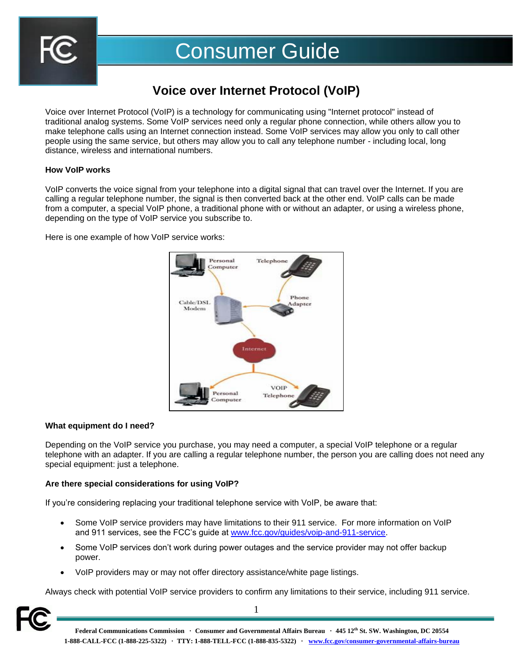

# Consumer Guide

## **Voice over Internet Protocol (VoIP)**

Voice over Internet Protocol (VoIP) is a technology for communicating using "Internet protocol" instead of traditional analog systems. Some VoIP services need only a regular phone connection, while others allow you to make telephone calls using an Internet connection instead. Some VoIP services may allow you only to call other people using the same service, but others may allow you to call any telephone number - including local, long distance, wireless and international numbers.

#### **How VoIP works**

VoIP converts the voice signal from your telephone into a digital signal that can travel over the Internet. If you are calling a regular telephone number, the signal is then converted back at the other end. VoIP calls can be made from a computer, a special VoIP phone, a traditional phone with or without an adapter, or using a wireless phone, depending on the type of VoIP service you subscribe to.

Here is one example of how VoIP service works:



### **What equipment do I need?**

Depending on the VoIP service you purchase, you may need a computer, a special VoIP telephone or a regular telephone with an adapter. If you are calling a regular telephone number, the person you are calling does not need any special equipment: just a telephone.

### **Are there special considerations for using VoIP?**

If you're considering replacing your traditional telephone service with VoIP, be aware that:

- Some VoIP service providers may have limitations to their 911 service. For more information on VoIP and 911 services, see the FCC's guide at [www.fcc.gov/guides/voip-and-911-service.](http://www.fcc.gov/guides/voip-and-911-service)
- Some VoIP services don't work during power outages and the service provider may not offer backup power.
- VoIP providers may or may not offer directory assistance/white page listings.

Always check with potential VoIP service providers to confirm any limitations to their service, including 911 service.